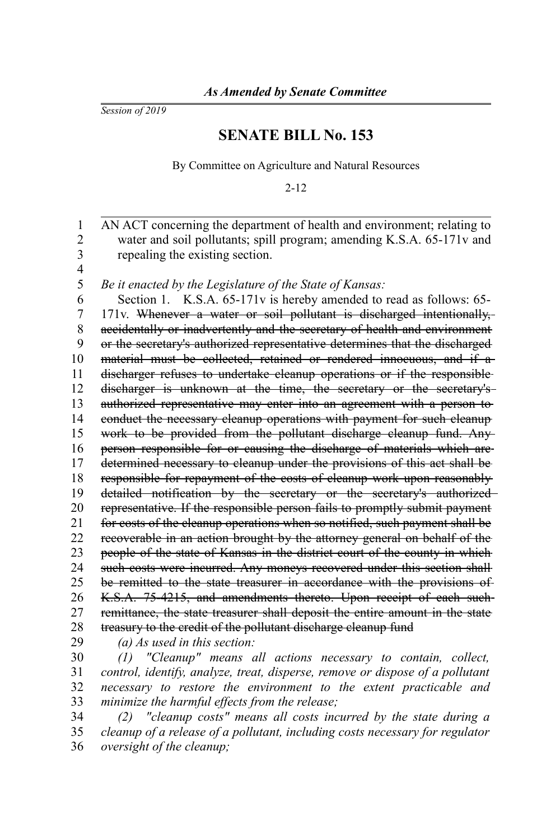*Session of 2019*

## **SENATE BILL No. 153**

By Committee on Agriculture and Natural Resources

2-12

AN ACT concerning the department of health and environment; relating to water and soil pollutants; spill program; amending K.S.A. 65-171v and repealing the existing section. *Be it enacted by the Legislature of the State of Kansas:* Section 1. K.S.A. 65-171v is hereby amended to read as follows: 65-171v. Whenever a water or soil pollutant is discharged intentionally, accidentally or inadvertently and the secretary of health and environment or the secretary's authorized representative determines that the discharged material must be collected, retained or rendered innocuous, and if a discharger refuses to undertake cleanup operations or if the responsible discharger is unknown at the time, the secretary or the secretary'sauthorized representative may enter into an agreement with a person to conduct the necessary cleanup operations with payment for such cleanup work to be provided from the pollutant discharge cleanup fund. Any person responsible for or causing the discharge of materials which are determined necessary to cleanup under the provisions of this act shall be responsible for repayment of the costs of cleanup work upon reasonably detailed notification by the secretary or the secretary's authorized representative. If the responsible person fails to promptly submit payment for costs of the cleanup operations when so notified, such payment shall be recoverable in an action brought by the attorney general on behalf of the people of the state of Kansas in the district court of the county in which such costs were incurred. Any moneys recovered under this section shall be remitted to the state treasurer in accordance with the provisions of K.S.A. 75-4215, and amendments thereto. Upon receipt of each such remittance, the state treasurer shall deposit the entire amount in the state treasury to the credit of the pollutant discharge cleanup fund *(a) As used in this section: (1) "Cleanup" means all actions necessary to contain, collect, control, identify, analyze, treat, disperse, remove or dispose of a pollutant necessary to restore the environment to the extent practicable and minimize the harmful effects from the release; (2) "cleanup costs" means all costs incurred by the state during a* 1 2 3 4 5 6 7 8 9 10 11 12 13 14 15 16 17 18 19 20 21 22 23 24 25 26 27 28 29 30 31 32 33 34

*cleanup of a release of a pollutant, including costs necessary for regulator oversight of the cleanup;* 35 36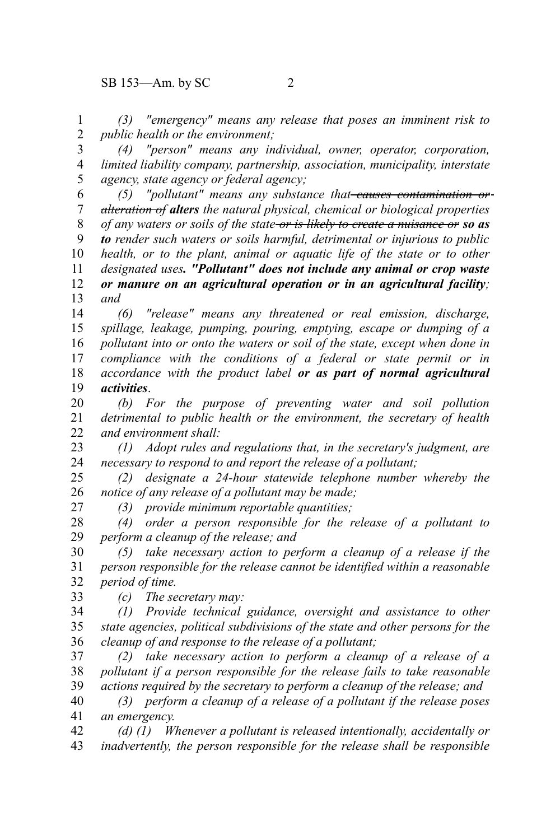*(3) "emergency" means any release that poses an imminent risk to public health or the environment;* 1 2

*(4) "person" means any individual, owner, operator, corporation, limited liability company, partnership, association, municipality, interstate agency, state agency or federal agency;* 3 4 5

*(5) "pollutant" means any substance that causes contamination or alteration of alters the natural physical, chemical or biological properties of any waters or soils of the state or is likely to create a nuisance or so as to render such waters or soils harmful, detrimental or injurious to public health, or to the plant, animal or aquatic life of the state or to other designated uses. "Pollutant" does not include any animal or crop waste or manure on an agricultural operation or in an agricultural facility; and* 6 7 8 9 10 11 12 13

*(6) "release" means any threatened or real emission, discharge, spillage, leakage, pumping, pouring, emptying, escape or dumping of a pollutant into or onto the waters or soil of the state, except when done in compliance with the conditions of a federal or state permit or in accordance with the product label or as part of normal agricultural activities*. 14 15 16 17 18 19

*(b) For the purpose of preventing water and soil pollution detrimental to public health or the environment, the secretary of health and environment shall:* 20 21 22

*(1) Adopt rules and regulations that, in the secretary's judgment, are necessary to respond to and report the release of a pollutant;* 23 24

*(2) designate a 24-hour statewide telephone number whereby the notice of any release of a pollutant may be made;* 25 26

*(3) provide minimum reportable quantities;*

*(4) order a person responsible for the release of a pollutant to perform a cleanup of the release; and* 28 29

*(5) take necessary action to perform a cleanup of a release if the person responsible for the release cannot be identified within a reasonable period of time.* 30 31 32 33

*(c) The secretary may:*

27

*(1) Provide technical guidance, oversight and assistance to other state agencies, political subdivisions of the state and other persons for the cleanup of and response to the release of a pollutant;* 34 35 36

*(2) take necessary action to perform a cleanup of a release of a pollutant if a person responsible for the release fails to take reasonable actions required by the secretary to perform a cleanup of the release; and* 37 38 39

*(3) perform a cleanup of a release of a pollutant if the release poses an emergency.* 40 41

*(d) (1) Whenever a pollutant is released intentionally, accidentally or inadvertently, the person responsible for the release shall be responsible* 42 43